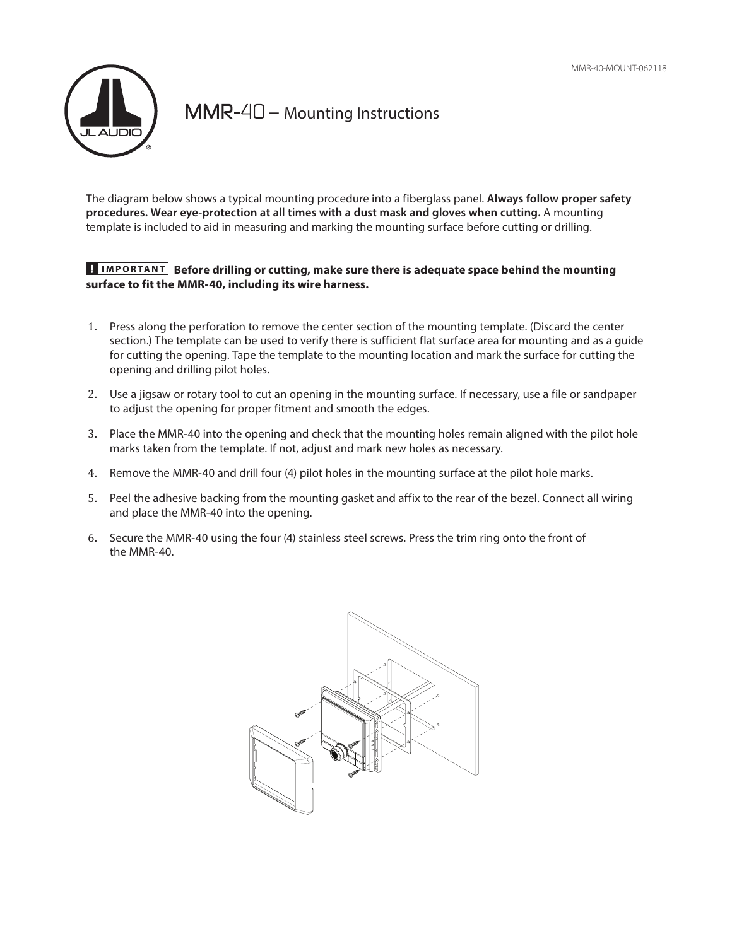

 $MMR-\mathcal{4}\mathcal{D}$  – Mounting Instructions

The diagram below shows a typical mounting procedure into a fiberglass panel. **Always follow proper safety procedures. Wear eye-protection at all times with a dust mask and gloves when cutting.** A mounting template is included to aid in measuring and marking the mounting surface before cutting or drilling.

## **E IMPORTANT Before drilling or cutting, make sure there is adequate space behind the mounting surface to fit the MMR-40, including its wire harness.**

- 1. Press along the perforation to remove the center section of the mounting template. (Discard the center section.) The template can be used to verify there is sufficient flat surface area for mounting and as a guide for cutting the opening. Tape the template to the mounting location and mark the surface for cutting the opening and drilling pilot holes.
- 2. Use a jigsaw or rotary tool to cut an opening in the mounting surface. If necessary, use a file or sandpaper to adjust the opening for proper fitment and smooth the edges.
- 3. Place the MMR-40 into the opening and check that the mounting holes remain aligned with the pilot hole marks taken from the template. If not, adjust and mark new holes as necessary.
- 4. Remove the MMR-40 and drill four (4) pilot holes in the mounting surface at the pilot hole marks.
- 5. Peel the adhesive backing from the mounting gasket and affix to the rear of the bezel. Connect all wiring and place the MMR-40 into the opening.
- 6. Secure the MMR-40 using the four (4) stainless steel screws. Press the trim ring onto the front of the MMR-40.